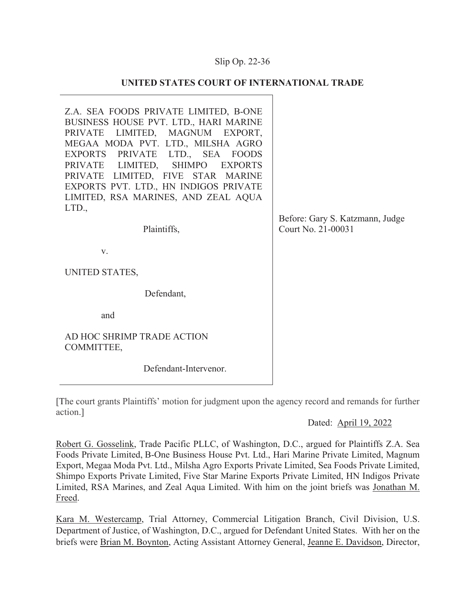## Slip Op. 22-

### **UNITED STATES COURT OF INTERNATIONAL TRADE**

Z.A. SEA FOODS PRIVATE LIMITED, B-ONE BUSINESS HOUSE PVT. LTD., HARI MARINE PRIVATE LIMITED, MAGNUM EXPORT, MEGAA MODA PVT. LTD., MILSHA AGRO EXPORTS PRIVATE LTD., SEA FOODS PRIVATE LIMITED, SHIMPO EXPORTS PRIVATE LIMITED, FIVE STAR MARINE EXPORTS PVT. LTD., HN INDIGOS PRIVATE LIMITED, RSA MARINES, AND ZEAL AQUA LTD.,

Plaintiffs,

v.

UNITED STATES,

Defendant,

and

AD HOC SHRIMP TRADE ACTION COMMITTEE,

Defendant-Intervenor.

[The court grants Plaintiffs' motion for judgment upon the agency record and remands for further action.]

### Dated: April 19, 2022

Robert G. Gosselink, Trade Pacific PLLC, of Washington, D.C., argued for Plaintiffs Z.A. Sea Foods Private Limited, B-One Business House Pvt. Ltd., Hari Marine Private Limited, Magnum Export, Megaa Moda Pvt. Ltd., Milsha Agro Exports Private Limited, Sea Foods Private Limited, Shimpo Exports Private Limited, Five Star Marine Exports Private Limited, HN Indigos Private Limited, RSA Marines, and Zeal Aqua Limited. With him on the joint briefs was Jonathan M. Freed.

Kara M. Westercamp, Trial Attorney, Commercial Litigation Branch, Civil Division, U.S. Department of Justice, of Washington, D.C., argued for Defendant United States. With her on the briefs were Brian M. Boynton, Acting Assistant Attorney General, Jeanne E. Davidson, Director,

Before: Gary S. Katzmann, Judge Court No. 21-00031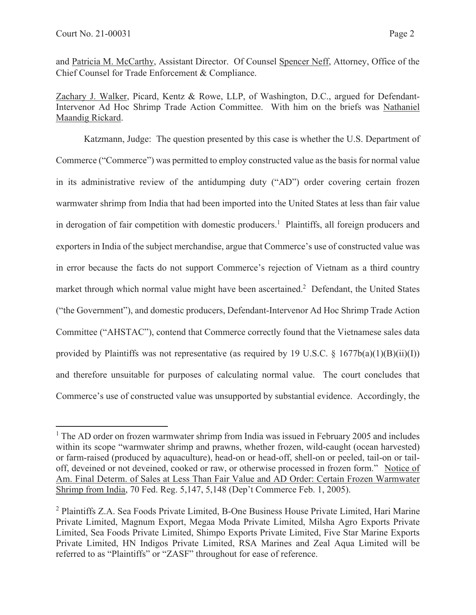and Patricia M. McCarthy, Assistant Director. Of Counsel Spencer Neff, Attorney, Office of the Chief Counsel for Trade Enforcement & Compliance.

Zachary J. Walker, Picard, Kentz & Rowe, LLP, of Washington, D.C., argued for Defendant-Intervenor Ad Hoc Shrimp Trade Action Committee. With him on the briefs was Nathaniel Maandig Rickard.

Katzmann, Judge: The question presented by this case is whether the U.S. Department of Commerce ("Commerce") was permitted to employ constructed value as the basis for normal value in its administrative review of the antidumping duty ("AD") order covering certain frozen warmwater shrimp from India that had been imported into the United States at less than fair value in derogation of fair competition with domestic producers.<sup>1</sup> Plaintiffs, all foreign producers and exporters in India of the subject merchandise, argue that Commerce's use of constructed value was in error because the facts do not support Commerce's rejection of Vietnam as a third country market through which normal value might have been ascertained.<sup>2</sup> Defendant, the United States ("the Government"), and domestic producers, Defendant-Intervenor Ad Hoc Shrimp Trade Action Committee ("AHSTAC"), contend that Commerce correctly found that the Vietnamese sales data provided by Plaintiffs was not representative (as required by 19 U.S.C.  $\S$  1677b(a)(1)(B)(ii)(I)) and therefore unsuitable for purposes of calculating normal value. The court concludes that Commerce's use of constructed value was unsupported by substantial evidence. Accordingly, the

<sup>&</sup>lt;sup>1</sup> The AD order on frozen warmwater shrimp from India was issued in February 2005 and includes within its scope "warmwater shrimp and prawns, whether frozen, wild-caught (ocean harvested) or farm-raised (produced by aquaculture), head-on or head-off, shell-on or peeled, tail-on or tailoff, deveined or not deveined, cooked or raw, or otherwise processed in frozen form." Notice of Am. Final Determ. of Sales at Less Than Fair Value and AD Order: Certain Frozen Warmwater Shrimp from India, 70 Fed. Reg. 5,147, 5,148 (Dep't Commerce Feb. 1, 2005).

<sup>&</sup>lt;sup>2</sup> Plaintiffs Z.A. Sea Foods Private Limited, B-One Business House Private Limited, Hari Marine Private Limited, Magnum Export, Megaa Moda Private Limited, Milsha Agro Exports Private Limited, Sea Foods Private Limited, Shimpo Exports Private Limited, Five Star Marine Exports Private Limited, HN Indigos Private Limited, RSA Marines and Zeal Aqua Limited will be referred to as "Plaintiffs" or "ZASF" throughout for ease of reference.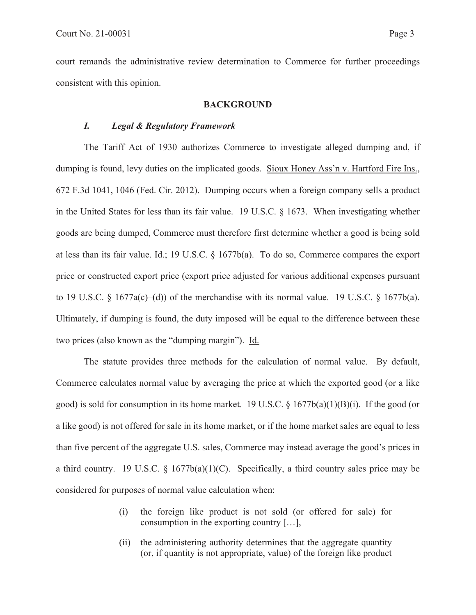court remands the administrative review determination to Commerce for further proceedings consistent with this opinion.

#### **BACKGROUND**

### *I. Legal & Regulatory Framework*

The Tariff Act of 1930 authorizes Commerce to investigate alleged dumping and, if dumping is found, levy duties on the implicated goods. Sioux Honey Ass'n v. Hartford Fire Ins., 672 F.3d 1041, 1046 (Fed. Cir. 2012). Dumping occurs when a foreign company sells a product in the United States for less than its fair value. 19 U.S.C. § 1673. When investigating whether goods are being dumped, Commerce must therefore first determine whether a good is being sold at less than its fair value. Id.; 19 U.S.C. § 1677b(a). To do so, Commerce compares the export price or constructed export price (export price adjusted for various additional expenses pursuant to 19 U.S.C.  $\S$  1677a(c)–(d)) of the merchandise with its normal value. 19 U.S.C.  $\S$  1677b(a). Ultimately, if dumping is found, the duty imposed will be equal to the difference between these two prices (also known as the "dumping margin"). Id.

The statute provides three methods for the calculation of normal value. By default, Commerce calculates normal value by averaging the price at which the exported good (or a like good) is sold for consumption in its home market. 19 U.S.C.  $\S 1677b(a)(1)(B)(i)$ . If the good (or a like good) is not offered for sale in its home market, or if the home market sales are equal to less than five percent of the aggregate U.S. sales, Commerce may instead average the good's prices in a third country. 19 U.S.C.  $\S$  1677b(a)(1)(C). Specifically, a third country sales price may be considered for purposes of normal value calculation when:

- (i) the foreign like product is not sold (or offered for sale) for consumption in the exporting country […],
- (ii) the administering authority determines that the aggregate quantity (or, if quantity is not appropriate, value) of the foreign like product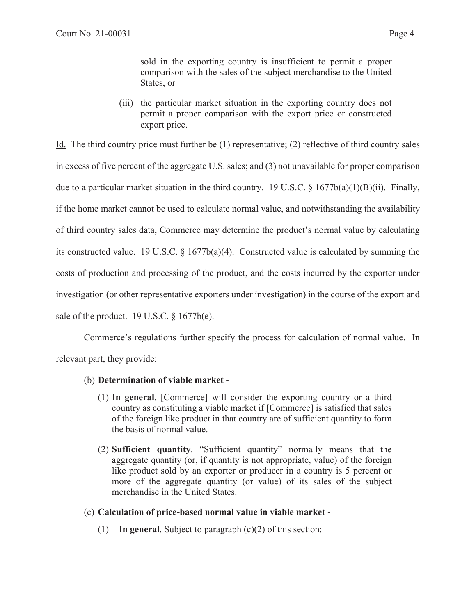sold in the exporting country is insufficient to permit a proper comparison with the sales of the subject merchandise to the United States, or

(iii) the particular market situation in the exporting country does not permit a proper comparison with the export price or constructed export price.

Id. The third country price must further be (1) representative; (2) reflective of third country sales in excess of five percent of the aggregate U.S. sales; and (3) not unavailable for proper comparison due to a particular market situation in the third country. 19 U.S.C.  $\S 1677b(a)(1)(B)(ii)$ . Finally, if the home market cannot be used to calculate normal value, and notwithstanding the availability of third country sales data, Commerce may determine the product's normal value by calculating its constructed value. 19 U.S.C. § 1677b(a)(4). Constructed value is calculated by summing the costs of production and processing of the product, and the costs incurred by the exporter under investigation (or other representative exporters under investigation) in the course of the export and sale of the product. 19 U.S.C.  $\S$  1677b(e).

Commerce's regulations further specify the process for calculation of normal value. In relevant part, they provide:

# (b) **Determination of viable market** -

- (1) **In general**. [Commerce] will consider the exporting country or a third country as constituting a viable market if [Commerce] is satisfied that sales of the foreign like product in that country are of sufficient quantity to form the basis of normal value.
- (2) **Sufficient quantity**. "Sufficient quantity" normally means that the aggregate quantity (or, if quantity is not appropriate, value) of the foreign like product sold by an exporter or producer in a country is 5 percent or more of the aggregate quantity (or value) of its sales of the subject merchandise in the United States.

# (c) **Calculation of price-based normal value in viable market** -

(1) **In general**. Subject to paragraph (c)(2) of this section: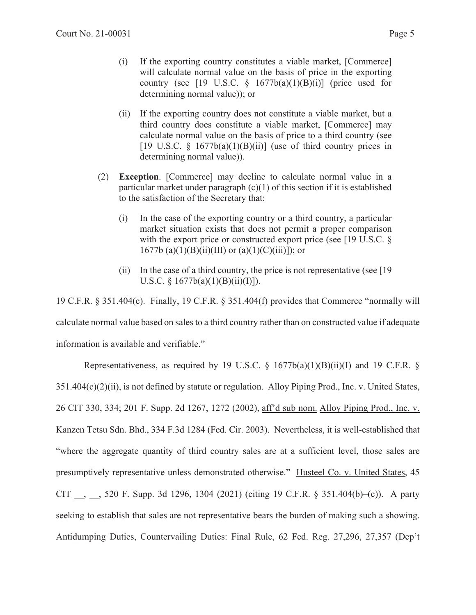- (i) If the exporting country constitutes a viable market, [Commerce] will calculate normal value on the basis of price in the exporting country (see [19 U.S.C.  $\frac{1677b(a)(1)(B)(i)}{2}$  (price used for determining normal value)); or
- (ii) If the exporting country does not constitute a viable market, but a third country does constitute a viable market, [Commerce] may calculate normal value on the basis of price to a third country (see [19 U.S.C.  $\S$  1677b(a)(1)(B)(ii)] (use of third country prices in determining normal value)).
- (2) **Exception**. [Commerce] may decline to calculate normal value in a particular market under paragraph  $(c)(1)$  of this section if it is established to the satisfaction of the Secretary that:
	- (i) In the case of the exporting country or a third country, a particular market situation exists that does not permit a proper comparison with the export price or constructed export price (see [19 U.S.C. § 1677b (a)(1)(B)(ii)(III) or (a)(1)(C)(iii)]); or
	- (ii) In the case of a third country, the price is not representative (see [19 U.S.C.  $\S$  1677b(a)(1)(B)(ii)(I)]).

19 C.F.R. § 351.404(c). Finally, 19 C.F.R. § 351.404(f) provides that Commerce "normally will calculate normal value based on sales to a third country rather than on constructed value if adequate information is available and verifiable."

Representativeness, as required by 19 U.S.C.  $\S$  1677b(a)(1)(B)(ii)(I) and 19 C.F.R.  $\S$ 351.404(c)(2)(ii), is not defined by statute or regulation. Alloy Piping Prod., Inc. v. United States, 26 CIT 330, 334; 201 F. Supp. 2d 1267, 1272 (2002), aff'd sub nom. Alloy Piping Prod., Inc. v. Kanzen Tetsu Sdn. Bhd., 334 F.3d 1284 (Fed. Cir. 2003). Nevertheless, it is well-established that "where the aggregate quantity of third country sales are at a sufficient level, those sales are presumptively representative unless demonstrated otherwise." Husteel Co. v. United States, 45 CIT \_\_, \_\_, 520 F. Supp. 3d 1296, 1304 (2021) (citing 19 C.F.R. § 351.404(b)–(c)). A party seeking to establish that sales are not representative bears the burden of making such a showing. Antidumping Duties, Countervailing Duties: Final Rule, 62 Fed. Reg. 27,296, 27,357 (Dep't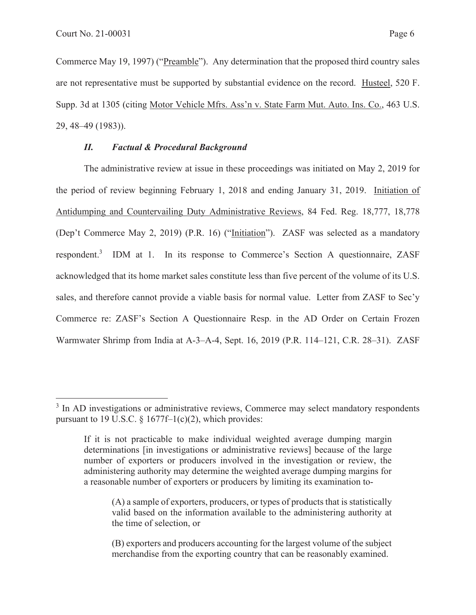Commerce May 19, 1997) ("Preamble"). Any determination that the proposed third country sales are not representative must be supported by substantial evidence on the record. Husteel, 520 F. Supp. 3d at 1305 (citing Motor Vehicle Mfrs. Ass'n v. State Farm Mut. Auto. Ins. Co., 463 U.S. 29, 48–49 (1983)).

## *II. Factual & Procedural Background*

The administrative review at issue in these proceedings was initiated on May 2, 2019 for the period of review beginning February 1, 2018 and ending January 31, 2019. Initiation of Antidumping and Countervailing Duty Administrative Reviews, 84 Fed. Reg. 18,777, 18,778 (Dep't Commerce May 2, 2019) (P.R. 16) ("Initiation"). ZASF was selected as a mandatory respondent.<sup>3</sup> IDM at 1. In its response to Commerce's Section A questionnaire, ZASF acknowledged that its home market sales constitute less than five percent of the volume of its U.S. sales, and therefore cannot provide a viable basis for normal value. Letter from ZASF to Sec'y Commerce re: ZASF's Section A Questionnaire Resp. in the AD Order on Certain Frozen Warmwater Shrimp from India at A-3–A-4, Sept. 16, 2019 (P.R. 114–121, C.R. 28–31). ZASF

<sup>&</sup>lt;sup>3</sup> In AD investigations or administrative reviews, Commerce may select mandatory respondents pursuant to 19 U.S.C.  $\S 1677f-1(c)(2)$ , which provides:

If it is not practicable to make individual weighted average dumping margin determinations [in investigations or administrative reviews] because of the large number of exporters or producers involved in the investigation or review, the administering authority may determine the weighted average dumping margins for a reasonable number of exporters or producers by limiting its examination to-

<sup>(</sup>A) a sample of exporters, producers, or types of products that is statistically valid based on the information available to the administering authority at the time of selection, or

<sup>(</sup>B) exporters and producers accounting for the largest volume of the subject merchandise from the exporting country that can be reasonably examined.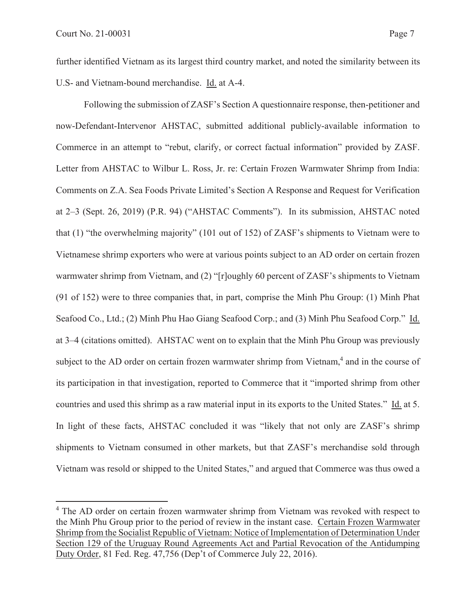further identified Vietnam as its largest third country market, and noted the similarity between its U.S- and Vietnam-bound merchandise. Id. at A-4.

Following the submission of ZASF's Section A questionnaire response, then-petitioner and now-Defendant-Intervenor AHSTAC, submitted additional publicly-available information to Commerce in an attempt to "rebut, clarify, or correct factual information" provided by ZASF. Letter from AHSTAC to Wilbur L. Ross, Jr. re: Certain Frozen Warmwater Shrimp from India: Comments on Z.A. Sea Foods Private Limited's Section A Response and Request for Verification at 2–3 (Sept. 26, 2019) (P.R. 94) ("AHSTAC Comments"). In its submission, AHSTAC noted that (1) "the overwhelming majority" (101 out of 152) of ZASF's shipments to Vietnam were to Vietnamese shrimp exporters who were at various points subject to an AD order on certain frozen warmwater shrimp from Vietnam, and (2) "[r]oughly 60 percent of ZASF's shipments to Vietnam (91 of 152) were to three companies that, in part, comprise the Minh Phu Group: (1) Minh Phat Seafood Co., Ltd.; (2) Minh Phu Hao Giang Seafood Corp.; and (3) Minh Phu Seafood Corp." Id. at 3–4 (citations omitted). AHSTAC went on to explain that the Minh Phu Group was previously subject to the AD order on certain frozen warmwater shrimp from Vietnam,<sup>4</sup> and in the course of its participation in that investigation, reported to Commerce that it "imported shrimp from other countries and used this shrimp as a raw material input in its exports to the United States." Id. at 5. In light of these facts, AHSTAC concluded it was "likely that not only are ZASF's shrimp shipments to Vietnam consumed in other markets, but that ZASF's merchandise sold through Vietnam was resold or shipped to the United States," and argued that Commerce was thus owed a

<sup>&</sup>lt;sup>4</sup> The AD order on certain frozen warmwater shrimp from Vietnam was revoked with respect to the Minh Phu Group prior to the period of review in the instant case. Certain Frozen Warmwater Shrimp from the Socialist Republic of Vietnam: Notice of Implementation of Determination Under Section 129 of the Uruguay Round Agreements Act and Partial Revocation of the Antidumping Duty Order, 81 Fed. Reg. 47,756 (Dep't of Commerce July 22, 2016).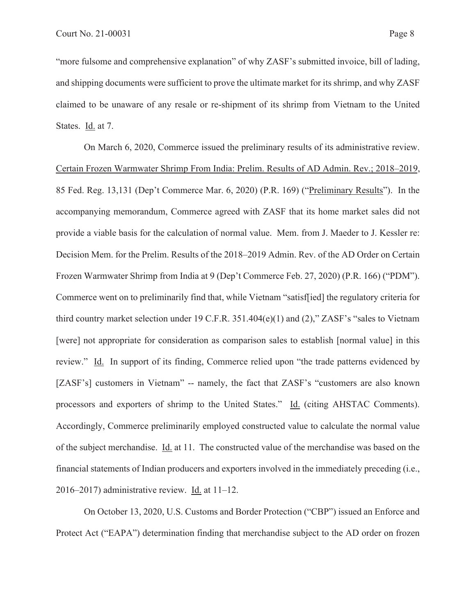"more fulsome and comprehensive explanation" of why ZASF's submitted invoice, bill of lading, and shipping documents were sufficient to prove the ultimate market for its shrimp, and why ZASF claimed to be unaware of any resale or re-shipment of its shrimp from Vietnam to the United States. Id. at 7.

On March 6, 2020, Commerce issued the preliminary results of its administrative review. Certain Frozen Warmwater Shrimp From India: Prelim. Results of AD Admin. Rev.; 2018–2019, 85 Fed. Reg. 13,131 (Dep't Commerce Mar. 6, 2020) (P.R. 169) ("Preliminary Results"). In the accompanying memorandum, Commerce agreed with ZASF that its home market sales did not provide a viable basis for the calculation of normal value. Mem. from J. Maeder to J. Kessler re: Decision Mem. for the Prelim. Results of the 2018–2019 Admin. Rev. of the AD Order on Certain Frozen Warmwater Shrimp from India at 9 (Dep't Commerce Feb. 27, 2020) (P.R. 166) ("PDM"). Commerce went on to preliminarily find that, while Vietnam "satisf[ied] the regulatory criteria for third country market selection under 19 C.F.R. 351.404(e)(1) and (2)," ZASF's "sales to Vietnam [were] not appropriate for consideration as comparison sales to establish [normal value] in this review." Id. In support of its finding, Commerce relied upon "the trade patterns evidenced by [ZASF's] customers in Vietnam" -- namely, the fact that ZASF's "customers are also known processors and exporters of shrimp to the United States." Id. (citing AHSTAC Comments). Accordingly, Commerce preliminarily employed constructed value to calculate the normal value of the subject merchandise. Id. at 11. The constructed value of the merchandise was based on the financial statements of Indian producers and exporters involved in the immediately preceding (i.e., 2016–2017) administrative review. Id. at 11–12.

On October 13, 2020, U.S. Customs and Border Protection ("CBP") issued an Enforce and Protect Act ("EAPA") determination finding that merchandise subject to the AD order on frozen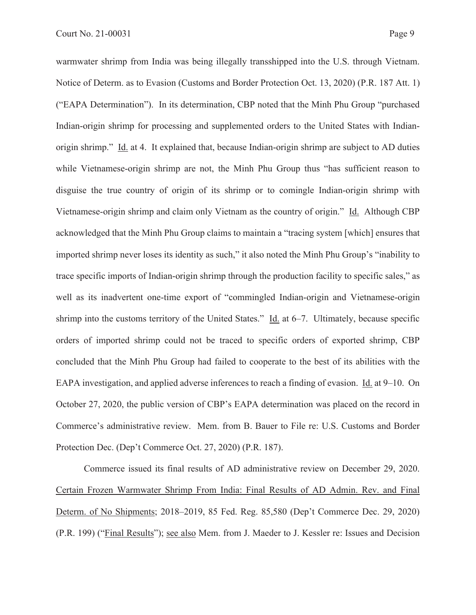warmwater shrimp from India was being illegally transshipped into the U.S. through Vietnam. Notice of Determ. as to Evasion (Customs and Border Protection Oct. 13, 2020) (P.R. 187 Att. 1) ("EAPA Determination"). In its determination, CBP noted that the Minh Phu Group "purchased Indian-origin shrimp for processing and supplemented orders to the United States with Indianorigin shrimp." Id. at 4. It explained that, because Indian-origin shrimp are subject to AD duties while Vietnamese-origin shrimp are not, the Minh Phu Group thus "has sufficient reason to disguise the true country of origin of its shrimp or to comingle Indian-origin shrimp with Vietnamese-origin shrimp and claim only Vietnam as the country of origin." Id. Although CBP acknowledged that the Minh Phu Group claims to maintain a "tracing system [which] ensures that imported shrimp never loses its identity as such," it also noted the Minh Phu Group's "inability to trace specific imports of Indian-origin shrimp through the production facility to specific sales," as well as its inadvertent one-time export of "commingled Indian-origin and Vietnamese-origin shrimp into the customs territory of the United States." Id. at 6–7. Ultimately, because specific orders of imported shrimp could not be traced to specific orders of exported shrimp, CBP concluded that the Minh Phu Group had failed to cooperate to the best of its abilities with the EAPA investigation, and applied adverse inferences to reach a finding of evasion. Id. at 9–10. On October 27, 2020, the public version of CBP's EAPA determination was placed on the record in Commerce's administrative review. Mem. from B. Bauer to File re: U.S. Customs and Border Protection Dec. (Dep't Commerce Oct. 27, 2020) (P.R. 187).

Commerce issued its final results of AD administrative review on December 29, 2020. Certain Frozen Warmwater Shrimp From India: Final Results of AD Admin. Rev. and Final Determ. of No Shipments; 2018–2019, 85 Fed. Reg. 85,580 (Dep't Commerce Dec. 29, 2020) (P.R. 199) ("Final Results"); see also Mem. from J. Maeder to J. Kessler re: Issues and Decision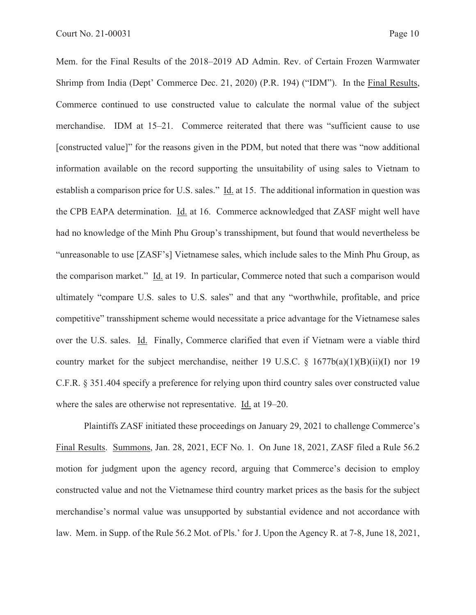Mem. for the Final Results of the 2018–2019 AD Admin. Rev. of Certain Frozen Warmwater Shrimp from India (Dept' Commerce Dec. 21, 2020) (P.R. 194) ("IDM"). In the Final Results, Commerce continued to use constructed value to calculate the normal value of the subject merchandise. IDM at 15–21. Commerce reiterated that there was "sufficient cause to use [constructed value]" for the reasons given in the PDM, but noted that there was "now additional information available on the record supporting the unsuitability of using sales to Vietnam to establish a comparison price for U.S. sales." Id. at 15. The additional information in question was the CPB EAPA determination. Id. at 16. Commerce acknowledged that ZASF might well have had no knowledge of the Minh Phu Group's transshipment, but found that would nevertheless be "unreasonable to use [ZASF's] Vietnamese sales, which include sales to the Minh Phu Group, as the comparison market." Id. at 19. In particular, Commerce noted that such a comparison would ultimately "compare U.S. sales to U.S. sales" and that any "worthwhile, profitable, and price competitive" transshipment scheme would necessitate a price advantage for the Vietnamese sales over the U.S. sales. Id. Finally, Commerce clarified that even if Vietnam were a viable third country market for the subject merchandise, neither 19 U.S.C.  $\S$  1677b(a)(1)(B)(ii)(I) nor 19 C.F.R. § 351.404 specify a preference for relying upon third country sales over constructed value where the sales are otherwise not representative. Id. at 19–20.

Plaintiffs ZASF initiated these proceedings on January 29, 2021 to challenge Commerce's Final Results. Summons, Jan. 28, 2021, ECF No. 1. On June 18, 2021, ZASF filed a Rule 56.2 motion for judgment upon the agency record, arguing that Commerce's decision to employ constructed value and not the Vietnamese third country market prices as the basis for the subject merchandise's normal value was unsupported by substantial evidence and not accordance with law. Mem. in Supp. of the Rule 56.2 Mot. of Pls.' for J. Upon the Agency R. at 7-8, June 18, 2021,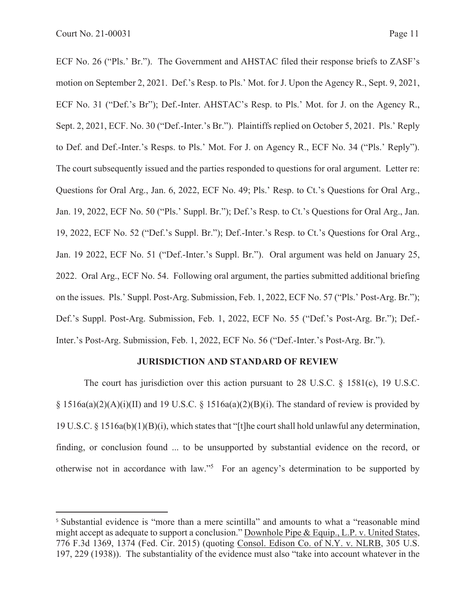ECF No. 26 ("Pls.' Br."). The Government and AHSTAC filed their response briefs to ZASF's motion on September 2, 2021. Def.'s Resp. to Pls.' Mot. for J. Upon the Agency R., Sept. 9, 2021, ECF No. 31 ("Def.'s Br"); Def.-Inter. AHSTAC's Resp. to Pls.' Mot. for J. on the Agency R., Sept. 2, 2021, ECF. No. 30 ("Def.-Inter.'s Br."). Plaintiffs replied on October 5, 2021. Pls.' Reply to Def. and Def.-Inter.'s Resps. to Pls.' Mot. For J. on Agency R., ECF No. 34 ("Pls.' Reply"). The court subsequently issued and the parties responded to questions for oral argument. Letter re: Questions for Oral Arg., Jan. 6, 2022, ECF No. 49; Pls.' Resp. to Ct.'s Questions for Oral Arg., Jan. 19, 2022, ECF No. 50 ("Pls.' Suppl. Br."); Def.'s Resp. to Ct.'s Questions for Oral Arg., Jan. 19, 2022, ECF No. 52 ("Def.'s Suppl. Br."); Def.-Inter.'s Resp. to Ct.'s Questions for Oral Arg., Jan. 19 2022, ECF No. 51 ("Def.-Inter.'s Suppl. Br."). Oral argument was held on January 25, 2022. Oral Arg., ECF No. 54. Following oral argument, the parties submitted additional briefing on the issues. Pls.' Suppl. Post-Arg. Submission, Feb. 1, 2022, ECF No. 57 ("Pls.' Post-Arg. Br."); Def.'s Suppl. Post-Arg. Submission, Feb. 1, 2022, ECF No. 55 ("Def.'s Post-Arg. Br."); Def.- Inter.'s Post-Arg. Submission, Feb. 1, 2022, ECF No. 56 ("Def.-Inter.'s Post-Arg. Br.").

### **JURISDICTION AND STANDARD OF REVIEW**

The court has jurisdiction over this action pursuant to 28 U.S.C.  $\S$  1581(c), 19 U.S.C.  $\S 1516a(a)(2)(A)(i)(II)$  and 19 U.S.C.  $\S 1516a(a)(2)(B)(i)$ . The standard of review is provided by 19 U.S.C. § 1516a(b)(1)(B)(i), which states that "[t]he court shall hold unlawful any determination, finding, or conclusion found ... to be unsupported by substantial evidence on the record, or otherwise not in accordance with law."<sup>5</sup> For an agency's determination to be supported by

<sup>&</sup>lt;sup>5</sup> Substantial evidence is "more than a mere scintilla" and amounts to what a "reasonable mind" might accept as adequate to support a conclusion." Downhole Pipe & Equip., L.P. v. United States, 776 F.3d 1369, 1374 (Fed. Cir. 2015) (quoting Consol. Edison Co. of N.Y. v. NLRB, 305 U.S. 197, 229 (1938)). The substantiality of the evidence must also "take into account whatever in the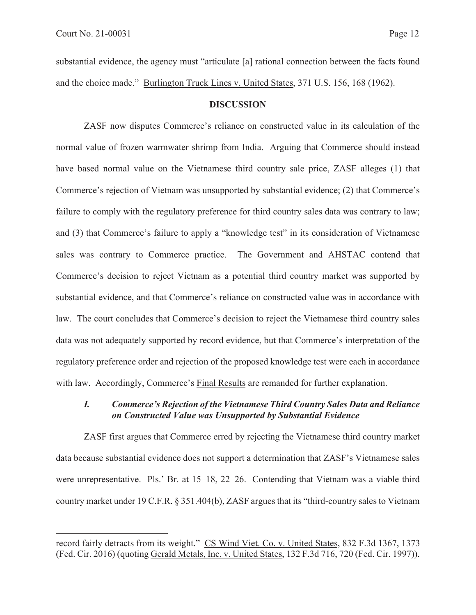substantial evidence, the agency must "articulate [a] rational connection between the facts found and the choice made." Burlington Truck Lines v. United States, 371 U.S. 156, 168 (1962).

#### **DISCUSSION**

ZASF now disputes Commerce's reliance on constructed value in its calculation of the normal value of frozen warmwater shrimp from India. Arguing that Commerce should instead have based normal value on the Vietnamese third country sale price, ZASF alleges (1) that Commerce's rejection of Vietnam was unsupported by substantial evidence; (2) that Commerce's failure to comply with the regulatory preference for third country sales data was contrary to law; and (3) that Commerce's failure to apply a "knowledge test" in its consideration of Vietnamese sales was contrary to Commerce practice. The Government and AHSTAC contend that Commerce's decision to reject Vietnam as a potential third country market was supported by substantial evidence, and that Commerce's reliance on constructed value was in accordance with law. The court concludes that Commerce's decision to reject the Vietnamese third country sales data was not adequately supported by record evidence, but that Commerce's interpretation of the regulatory preference order and rejection of the proposed knowledge test were each in accordance with law. Accordingly, Commerce's Final Results are remanded for further explanation.

## *I. Commerce's Rejection of the Vietnamese Third Country Sales Data and Reliance on Constructed Value was Unsupported by Substantial Evidence*

ZASF first argues that Commerce erred by rejecting the Vietnamese third country market data because substantial evidence does not support a determination that ZASF's Vietnamese sales were unrepresentative. Pls.' Br. at 15–18, 22–26. Contending that Vietnam was a viable third country market under 19 C.F.R. § 351.404(b), ZASF argues that its "third-country sales to Vietnam

record fairly detracts from its weight." CS Wind Viet. Co. v. United States, 832 F.3d 1367, 1373 (Fed. Cir. 2016) (quoting Gerald Metals, Inc. v. United States, 132 F.3d 716, 720 (Fed. Cir. 1997)).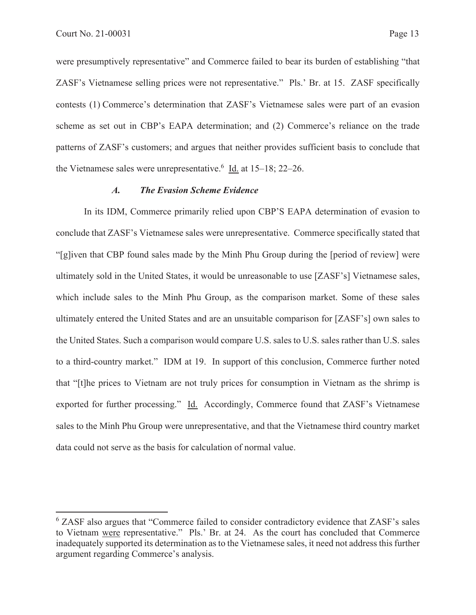were presumptively representative" and Commerce failed to bear its burden of establishing "that ZASF's Vietnamese selling prices were not representative." Pls.' Br. at 15. ZASF specifically contests (1) Commerce's determination that ZASF's Vietnamese sales were part of an evasion scheme as set out in CBP's EAPA determination; and (2) Commerce's reliance on the trade patterns of ZASF's customers; and argues that neither provides sufficient basis to conclude that the Vietnamese sales were unrepresentative.<sup>6</sup> Id. at  $15-18$ ;  $22-26$ .

#### *A. The Evasion Scheme Evidence*

In its IDM, Commerce primarily relied upon CBP'S EAPA determination of evasion to conclude that ZASF's Vietnamese sales were unrepresentative. Commerce specifically stated that "[g]iven that CBP found sales made by the Minh Phu Group during the [period of review] were ultimately sold in the United States, it would be unreasonable to use [ZASF's] Vietnamese sales, which include sales to the Minh Phu Group, as the comparison market. Some of these sales ultimately entered the United States and are an unsuitable comparison for [ZASF's] own sales to the United States. Such a comparison would compare U.S. sales to U.S. sales rather than U.S. sales to a third-country market." IDM at 19. In support of this conclusion, Commerce further noted that "[t]he prices to Vietnam are not truly prices for consumption in Vietnam as the shrimp is exported for further processing." Id. Accordingly, Commerce found that ZASF's Vietnamese sales to the Minh Phu Group were unrepresentative, and that the Vietnamese third country market data could not serve as the basis for calculation of normal value.

<sup>&</sup>lt;sup>6</sup> ZASF also argues that "Commerce failed to consider contradictory evidence that ZASF's sales to Vietnam were representative." Pls.' Br. at 24. As the court has concluded that Commerce inadequately supported its determination as to the Vietnamese sales, it need not address this further argument regarding Commerce's analysis.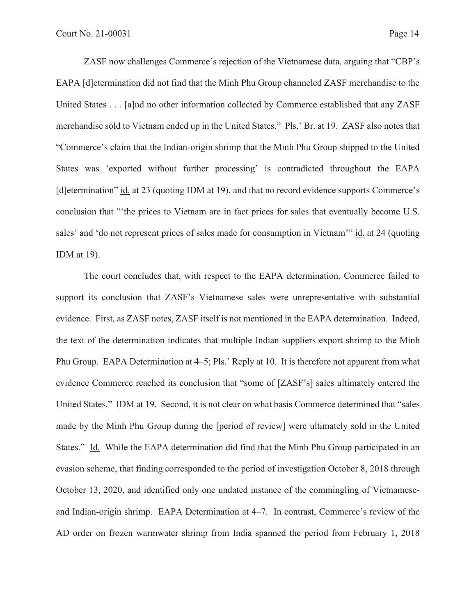ZASF now challenges Commerce's rejection of the Vietnamese data, arguing that "CBP's EAPA [d]etermination did not find that the Minh Phu Group channeled ZASF merchandise to the United States . . . [a]nd no other information collected by Commerce established that any ZASF merchandise sold to Vietnam ended up in the United States." Pls.' Br. at 19. ZASF also notes that "Commerce's claim that the Indian-origin shrimp that the Minh Phu Group shipped to the United States was 'exported without further processing' is contradicted throughout the EAPA [d]etermination" id. at 23 (quoting IDM at 19), and that no record evidence supports Commerce's conclusion that "'the prices to Vietnam are in fact prices for sales that eventually become U.S. sales' and 'do not represent prices of sales made for consumption in Vietnam'" id. at 24 (quoting IDM at 19).

The court concludes that, with respect to the EAPA determination, Commerce failed to support its conclusion that ZASF's Vietnamese sales were unrepresentative with substantial evidence. First, as ZASF notes, ZASF itself is not mentioned in the EAPA determination. Indeed, the text of the determination indicates that multiple Indian suppliers export shrimp to the Minh Phu Group. EAPA Determination at 4–5; Pls.' Reply at 10. It is therefore not apparent from what evidence Commerce reached its conclusion that "some of [ZASF's] sales ultimately entered the United States." IDM at 19. Second, it is not clear on what basis Commerce determined that "sales made by the Minh Phu Group during the [period of review] were ultimately sold in the United States." Id. While the EAPA determination did find that the Minh Phu Group participated in an evasion scheme, that finding corresponded to the period of investigation October 8, 2018 through October 13, 2020, and identified only one undated instance of the commingling of Vietnameseand Indian-origin shrimp. EAPA Determination at 4–7. In contrast, Commerce's review of the AD order on frozen warmwater shrimp from India spanned the period from February 1, 2018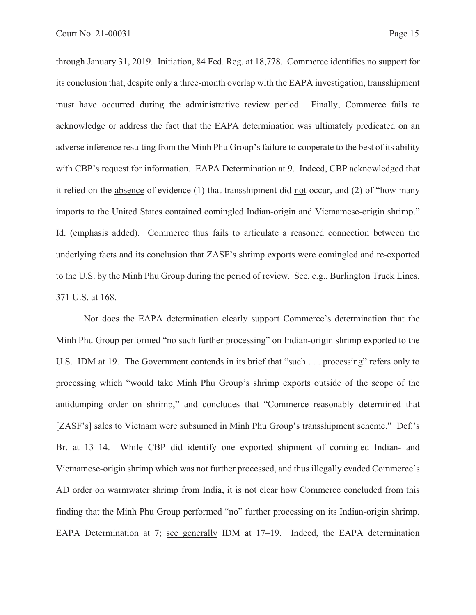through January 31, 2019. Initiation, 84 Fed. Reg. at 18,778. Commerce identifies no support for its conclusion that, despite only a three-month overlap with the EAPA investigation, transshipment must have occurred during the administrative review period. Finally, Commerce fails to acknowledge or address the fact that the EAPA determination was ultimately predicated on an adverse inference resulting from the Minh Phu Group's failure to cooperate to the best of its ability with CBP's request for information. EAPA Determination at 9. Indeed, CBP acknowledged that it relied on the absence of evidence (1) that transshipment did not occur, and (2) of "how many imports to the United States contained comingled Indian-origin and Vietnamese-origin shrimp." Id. (emphasis added). Commerce thus fails to articulate a reasoned connection between the underlying facts and its conclusion that ZASF's shrimp exports were comingled and re-exported to the U.S. by the Minh Phu Group during the period of review. See, e.g., Burlington Truck Lines, 371 U.S. at 168.

Nor does the EAPA determination clearly support Commerce's determination that the Minh Phu Group performed "no such further processing" on Indian-origin shrimp exported to the U.S. IDM at 19. The Government contends in its brief that "such . . . processing" refers only to processing which "would take Minh Phu Group's shrimp exports outside of the scope of the antidumping order on shrimp," and concludes that "Commerce reasonably determined that [ZASF's] sales to Vietnam were subsumed in Minh Phu Group's transshipment scheme." Def.'s Br. at 13–14. While CBP did identify one exported shipment of comingled Indian- and Vietnamese-origin shrimp which was not further processed, and thus illegally evaded Commerce's AD order on warmwater shrimp from India, it is not clear how Commerce concluded from this finding that the Minh Phu Group performed "no" further processing on its Indian-origin shrimp. EAPA Determination at 7; see generally IDM at 17–19. Indeed, the EAPA determination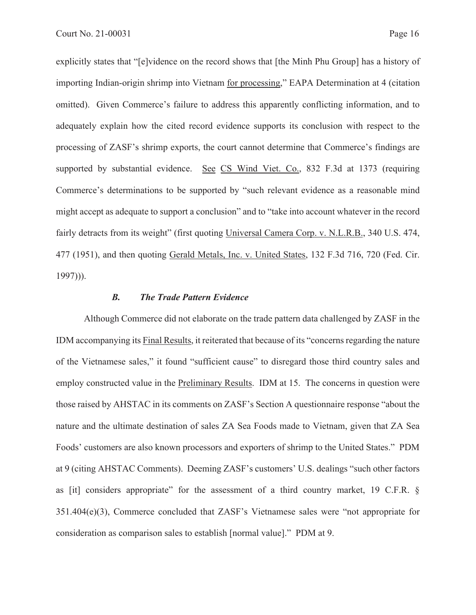explicitly states that "[e]vidence on the record shows that [the Minh Phu Group] has a history of importing Indian-origin shrimp into Vietnam for processing," EAPA Determination at 4 (citation omitted). Given Commerce's failure to address this apparently conflicting information, and to adequately explain how the cited record evidence supports its conclusion with respect to the processing of ZASF's shrimp exports, the court cannot determine that Commerce's findings are supported by substantial evidence. See CS Wind Viet. Co., 832 F.3d at 1373 (requiring Commerce's determinations to be supported by "such relevant evidence as a reasonable mind might accept as adequate to support a conclusion" and to "take into account whatever in the record fairly detracts from its weight" (first quoting Universal Camera Corp. v. N.L.R.B., 340 U.S. 474, 477 (1951), and then quoting Gerald Metals, Inc. v. United States, 132 F.3d 716, 720 (Fed. Cir. 1997))).

#### *B. The Trade Pattern Evidence*

Although Commerce did not elaborate on the trade pattern data challenged by ZASF in the IDM accompanying its Final Results, it reiterated that because of its "concerns regarding the nature of the Vietnamese sales," it found "sufficient cause" to disregard those third country sales and employ constructed value in the Preliminary Results. IDM at 15. The concerns in question were those raised by AHSTAC in its comments on ZASF's Section A questionnaire response "about the nature and the ultimate destination of sales ZA Sea Foods made to Vietnam, given that ZA Sea Foods' customers are also known processors and exporters of shrimp to the United States." PDM at 9 (citing AHSTAC Comments). Deeming ZASF's customers' U.S. dealings "such other factors as [it] considers appropriate" for the assessment of a third country market, 19 C.F.R. § 351.404(e)(3), Commerce concluded that ZASF's Vietnamese sales were "not appropriate for consideration as comparison sales to establish [normal value]." PDM at 9.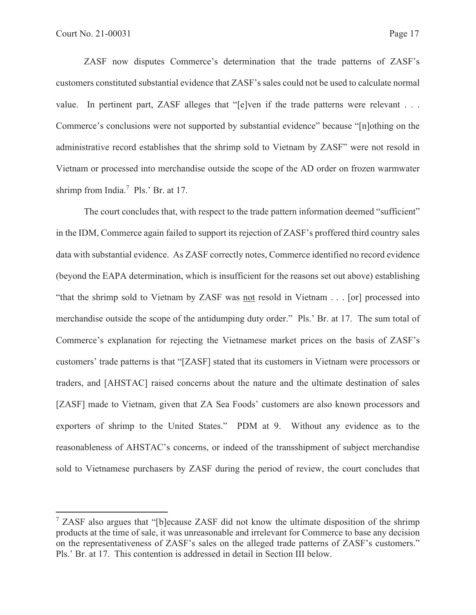ZASF now disputes Commerce's determination that the trade patterns of ZASF's customers constituted substantial evidence that ZASF's sales could not be used to calculate normal value. In pertinent part, ZASF alleges that "[e]ven if the trade patterns were relevant . . . Commerce's conclusions were not supported by substantial evidence" because "[n]othing on the administrative record establishes that the shrimp sold to Vietnam by ZASF" were not resold in Vietnam or processed into merchandise outside the scope of the AD order on frozen warmwater shrimp from India.<sup>7</sup> Pls.' Br. at 17.

The court concludes that, with respect to the trade pattern information deemed "sufficient" in the IDM, Commerce again failed to support its rejection of ZASF's proffered third country sales data with substantial evidence. As ZASF correctly notes, Commerce identified no record evidence (beyond the EAPA determination, which is insufficient for the reasons set out above) establishing "that the shrimp sold to Vietnam by ZASF was not resold in Vietnam . . . [or] processed into merchandise outside the scope of the antidumping duty order." Pls.' Br. at 17. The sum total of Commerce's explanation for rejecting the Vietnamese market prices on the basis of ZASF's customers' trade patterns is that "[ZASF] stated that its customers in Vietnam were processors or traders, and [AHSTAC] raised concerns about the nature and the ultimate destination of sales [ZASF] made to Vietnam, given that ZA Sea Foods' customers are also known processors and exporters of shrimp to the United States." PDM at 9. Without any evidence as to the reasonableness of AHSTAC's concerns, or indeed of the transshipment of subject merchandise sold to Vietnamese purchasers by ZASF during the period of review, the court concludes that

<sup>&</sup>lt;sup>7</sup> ZASF also argues that "[b]ecause ZASF did not know the ultimate disposition of the shrimp products at the time of sale, it was unreasonable and irrelevant for Commerce to base any decision on the representativeness of ZASF's sales on the alleged trade patterns of ZASF's customers." Pls.' Br. at 17. This contention is addressed in detail in Section III below.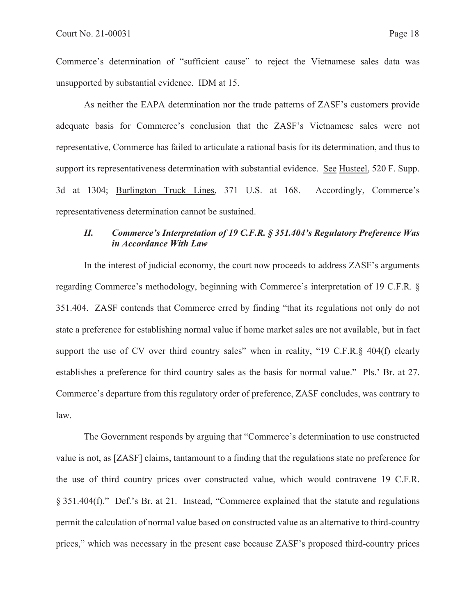Commerce's determination of "sufficient cause" to reject the Vietnamese sales data was unsupported by substantial evidence. IDM at 15.

As neither the EAPA determination nor the trade patterns of ZASF's customers provide adequate basis for Commerce's conclusion that the ZASF's Vietnamese sales were not representative, Commerce has failed to articulate a rational basis for its determination, and thus to support its representativeness determination with substantial evidence. See Husteel, 520 F. Supp. 3d at 1304; Burlington Truck Lines, 371 U.S. at 168. Accordingly, Commerce's representativeness determination cannot be sustained.

# *II. Commerce's Interpretation of 19 C.F.R. § 351.404's Regulatory Preference Was in Accordance With Law*

In the interest of judicial economy, the court now proceeds to address ZASF's arguments regarding Commerce's methodology, beginning with Commerce's interpretation of 19 C.F.R. § 351.404. ZASF contends that Commerce erred by finding "that its regulations not only do not state a preference for establishing normal value if home market sales are not available, but in fact support the use of CV over third country sales" when in reality, "19 C.F.R.§ 404(f) clearly establishes a preference for third country sales as the basis for normal value." Pls.' Br. at 27. Commerce's departure from this regulatory order of preference, ZASF concludes, was contrary to law.

The Government responds by arguing that "Commerce's determination to use constructed value is not, as [ZASF] claims, tantamount to a finding that the regulations state no preference for the use of third country prices over constructed value, which would contravene 19 C.F.R. § 351.404(f)." Def.'s Br. at 21. Instead, "Commerce explained that the statute and regulations permit the calculation of normal value based on constructed value as an alternative to third-country prices," which was necessary in the present case because ZASF's proposed third-country prices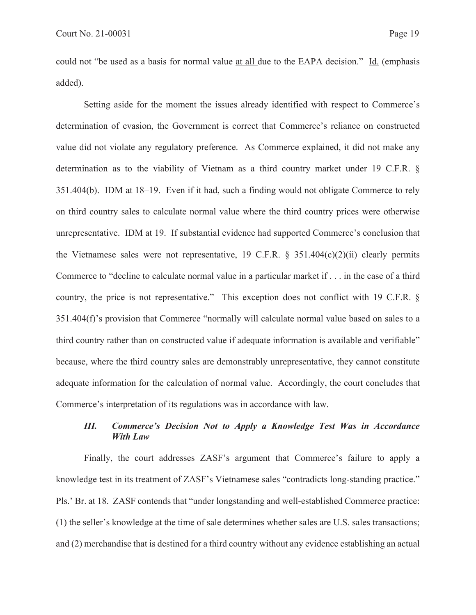could not "be used as a basis for normal value at all due to the EAPA decision." Id. (emphasis added).

Setting aside for the moment the issues already identified with respect to Commerce's determination of evasion, the Government is correct that Commerce's reliance on constructed value did not violate any regulatory preference. As Commerce explained, it did not make any determination as to the viability of Vietnam as a third country market under 19 C.F.R. § 351.404(b). IDM at 18–19. Even if it had, such a finding would not obligate Commerce to rely on third country sales to calculate normal value where the third country prices were otherwise unrepresentative. IDM at 19. If substantial evidence had supported Commerce's conclusion that the Vietnamese sales were not representative, 19 C.F.R.  $\S$  351.404(c)(2)(ii) clearly permits Commerce to "decline to calculate normal value in a particular market if . . . in the case of a third country, the price is not representative." This exception does not conflict with 19 C.F.R. § 351.404(f)'s provision that Commerce "normally will calculate normal value based on sales to a third country rather than on constructed value if adequate information is available and verifiable" because, where the third country sales are demonstrably unrepresentative, they cannot constitute adequate information for the calculation of normal value. Accordingly, the court concludes that Commerce's interpretation of its regulations was in accordance with law.

## *III. Commerce's Decision Not to Apply a Knowledge Test Was in Accordance With Law*

Finally, the court addresses ZASF's argument that Commerce's failure to apply a knowledge test in its treatment of ZASF's Vietnamese sales "contradicts long-standing practice." Pls.' Br. at 18. ZASF contends that "under longstanding and well-established Commerce practice: (1) the seller's knowledge at the time of sale determines whether sales are U.S. sales transactions; and (2) merchandise that is destined for a third country without any evidence establishing an actual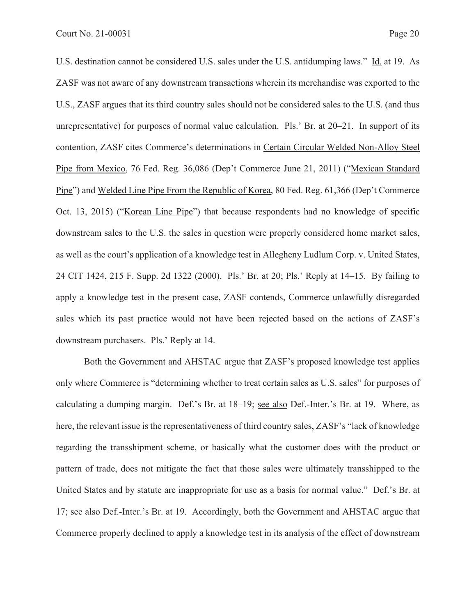U.S. destination cannot be considered U.S. sales under the U.S. antidumping laws." Id. at 19. As ZASF was not aware of any downstream transactions wherein its merchandise was exported to the U.S., ZASF argues that its third country sales should not be considered sales to the U.S. (and thus unrepresentative) for purposes of normal value calculation. Pls.' Br. at 20–21. In support of its contention, ZASF cites Commerce's determinations in Certain Circular Welded Non-Alloy Steel Pipe from Mexico, 76 Fed. Reg. 36,086 (Dep't Commerce June 21, 2011) ("Mexican Standard Pipe") and Welded Line Pipe From the Republic of Korea, 80 Fed. Reg. 61,366 (Dep't Commerce Oct. 13, 2015) ("Korean Line Pipe") that because respondents had no knowledge of specific downstream sales to the U.S. the sales in question were properly considered home market sales, as well as the court's application of a knowledge test in Allegheny Ludlum Corp. v. United States, 24 CIT 1424, 215 F. Supp. 2d 1322 (2000). Pls.' Br. at 20; Pls.' Reply at 14–15. By failing to apply a knowledge test in the present case, ZASF contends, Commerce unlawfully disregarded sales which its past practice would not have been rejected based on the actions of ZASF's downstream purchasers. Pls.' Reply at 14.

Both the Government and AHSTAC argue that ZASF's proposed knowledge test applies only where Commerce is "determining whether to treat certain sales as U.S. sales" for purposes of calculating a dumping margin. Def.'s Br. at 18–19; see also Def.-Inter.'s Br. at 19. Where, as here, the relevant issue is the representativeness of third country sales, ZASF's "lack of knowledge regarding the transshipment scheme, or basically what the customer does with the product or pattern of trade, does not mitigate the fact that those sales were ultimately transshipped to the United States and by statute are inappropriate for use as a basis for normal value." Def.'s Br. at 17; see also Def.-Inter.'s Br. at 19. Accordingly, both the Government and AHSTAC argue that Commerce properly declined to apply a knowledge test in its analysis of the effect of downstream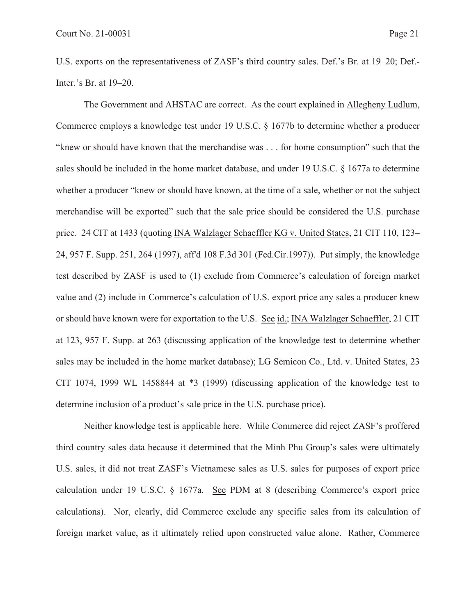U.S. exports on the representativeness of ZASF's third country sales. Def.'s Br. at 19–20; Def.- Inter.'s Br. at 19–20.

The Government and AHSTAC are correct. As the court explained in Allegheny Ludlum, Commerce employs a knowledge test under 19 U.S.C. § 1677b to determine whether a producer "knew or should have known that the merchandise was . . . for home consumption" such that the sales should be included in the home market database, and under 19 U.S.C. § 1677a to determine whether a producer "knew or should have known, at the time of a sale, whether or not the subject merchandise will be exported" such that the sale price should be considered the U.S. purchase price. 24 CIT at 1433 (quoting INA Walzlager Schaeffler KG v. United States, 21 CIT 110, 123– 24, 957 F. Supp. 251, 264 (1997), aff'd 108 F.3d 301 (Fed.Cir.1997)). Put simply, the knowledge test described by ZASF is used to (1) exclude from Commerce's calculation of foreign market value and (2) include in Commerce's calculation of U.S. export price any sales a producer knew or should have known were for exportation to the U.S. See id.; INA Walzlager Schaeffler, 21 CIT at 123, 957 F. Supp. at 263 (discussing application of the knowledge test to determine whether sales may be included in the home market database); LG Semicon Co., Ltd. v. United States, 23 CIT 1074, 1999 WL 1458844 at \*3 (1999) (discussing application of the knowledge test to determine inclusion of a product's sale price in the U.S. purchase price).

Neither knowledge test is applicable here. While Commerce did reject ZASF's proffered third country sales data because it determined that the Minh Phu Group's sales were ultimately U.S. sales, it did not treat ZASF's Vietnamese sales as U.S. sales for purposes of export price calculation under 19 U.S.C. § 1677a. See PDM at 8 (describing Commerce's export price calculations). Nor, clearly, did Commerce exclude any specific sales from its calculation of foreign market value, as it ultimately relied upon constructed value alone. Rather, Commerce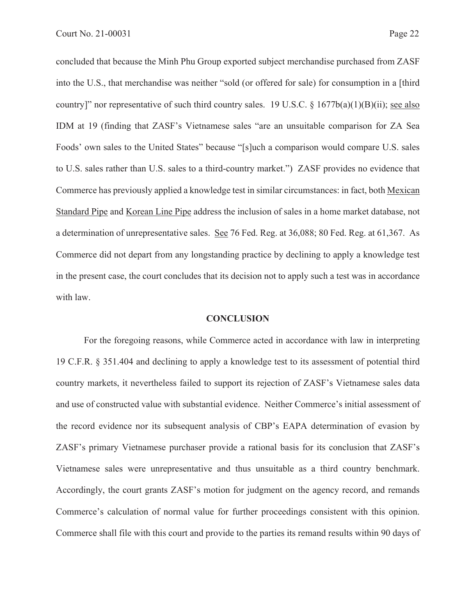concluded that because the Minh Phu Group exported subject merchandise purchased from ZASF into the U.S., that merchandise was neither "sold (or offered for sale) for consumption in a [third country]" nor representative of such third country sales. 19 U.S.C.  $\S$  1677b(a)(1)(B)(ii); see also IDM at 19 (finding that ZASF's Vietnamese sales "are an unsuitable comparison for ZA Sea Foods' own sales to the United States" because "[s]uch a comparison would compare U.S. sales to U.S. sales rather than U.S. sales to a third-country market.") ZASF provides no evidence that Commerce has previously applied a knowledge test in similar circumstances: in fact, both Mexican Standard Pipe and Korean Line Pipe address the inclusion of sales in a home market database, not a determination of unrepresentative sales. See 76 Fed. Reg. at 36,088; 80 Fed. Reg. at 61,367. As Commerce did not depart from any longstanding practice by declining to apply a knowledge test in the present case, the court concludes that its decision not to apply such a test was in accordance with law.

#### **CONCLUSION**

For the foregoing reasons, while Commerce acted in accordance with law in interpreting 19 C.F.R. § 351.404 and declining to apply a knowledge test to its assessment of potential third country markets, it nevertheless failed to support its rejection of ZASF's Vietnamese sales data and use of constructed value with substantial evidence. Neither Commerce's initial assessment of the record evidence nor its subsequent analysis of CBP's EAPA determination of evasion by ZASF's primary Vietnamese purchaser provide a rational basis for its conclusion that ZASF's Vietnamese sales were unrepresentative and thus unsuitable as a third country benchmark. Accordingly, the court grants ZASF's motion for judgment on the agency record, and remands Commerce's calculation of normal value for further proceedings consistent with this opinion. Commerce shall file with this court and provide to the parties its remand results within 90 days of